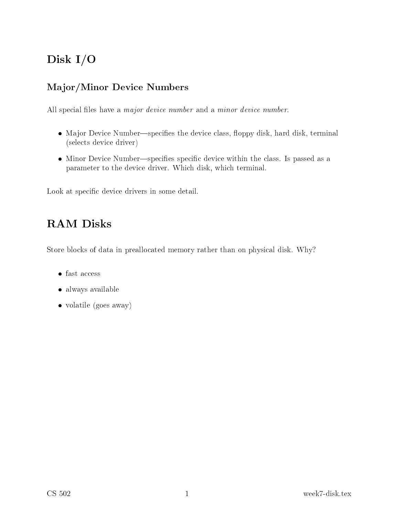# Disk I/O

### Major/Minor Devi
e Numbers

All special files have a *major device number* and a *minor device number*.

- Major Device Number—specifies the device class, floppy disk, hard disk, terminal (sele
ts devi
e driver)
- Minor Device Number—specifies specific device within the class. Is passed as a parameter to the devi
e driver. Whi
h disk, whi
h terminal.

Look at specific device drivers in some detail.

## RAM Disks

Store blocks of data in preallocated memory rather than on physical disk. Why?

- fast access
- always available
- volatile (goes away)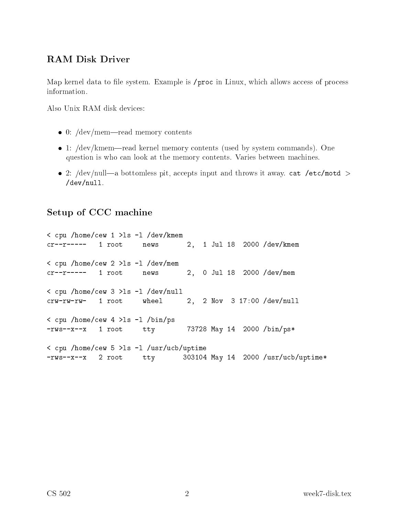#### RAM Disk Driver

Map kernel data to file system. Example is /proc in Linux, which allows access of process information.

Also Unix RAM disk devices:

- 0: /dev/mem—read memory contents
- 1: /dev/kmem—read kernel memory contents (used by system commands). One question is who an look at the memory ontents. Varies between ma
hines.
- 2: /dev/null—a bottomless pit, accepts input and throws it away. cat /etc/motd  $>$ /dev/null.

#### Setup of CCC ma
hine

<sup>&</sup>lt; pu /home/
ew <sup>1</sup> >ls -l /dev/kmem r--r----- <sup>1</sup> root news 2, <sup>1</sup> Jul <sup>18</sup> <sup>2000</sup> /dev/kmem <sup>&</sup>lt; pu /home/
ew <sup>2</sup> >ls -l /dev/mem r--r----- <sup>1</sup> root news 2, <sup>0</sup> Jul <sup>18</sup> <sup>2000</sup> /dev/mem <sup>&</sup>lt; pu /home/
ew <sup>3</sup> >ls -l /dev/null rw-rw-rw- <sup>1</sup> root wheel 2, <sup>2</sup> Nov <sup>3</sup> 17:00 /dev/null <sup>&</sup>lt; pu /home/
ew <sup>4</sup> >ls -l /bin/ps -rws--x--x <sup>1</sup> root tty <sup>73728</sup> May <sup>14</sup> <sup>2000</sup> /bin/ps\* <sup>&</sup>lt; pu /home/
ew <sup>5</sup> >ls -l /usr/u
b/uptime -rws--x--x 2 root tty 303104 May 14 2000 /usr/ucb/uptime\*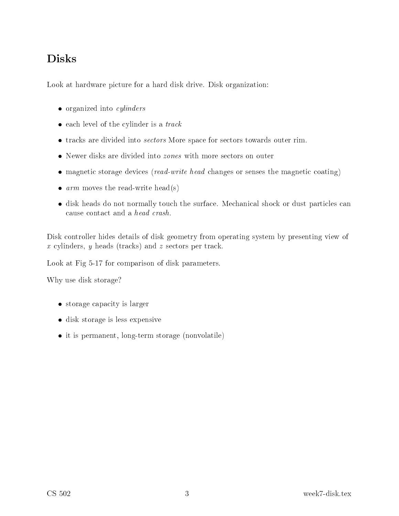## Disks

Look at hardware picture for a hard disk drive. Disk organization:

- organized into *cylinders*
- each level of the cylinder is a track
- tracks are divided into *sectors* More space for sectors towards outer rim.
- Newer disks are divided into zones with more se
tors on outer
- magnetic storage devices (read-write head changes or senses the magnetic coating)
- $arm$  moves the read-write head(s)
- disk heads do not normally touch the surface. Mechanical shock or dust particles can cause contact and a *head crash*.

Disk ontroller hides details of disk geometry from operating system by presenting view of x ylinders, <sup>y</sup> heads (tra
ks) and <sup>z</sup> se
tors per tra
k.

Look at Fig 5-17 for comparison of disk parameters.

Why use disk storage?

- storage capacity is larger
- disk storage is less expensive
- it is permanent, long-term storage (nonvolatile)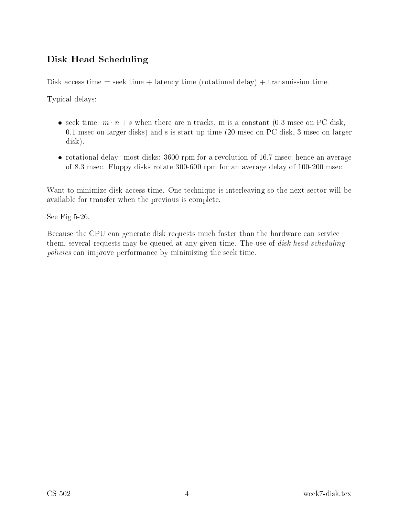### Disk Head S
heduling

Disk access time = seek time + latency time (rotational delay) + transmission time.

Typi
al delays:

- seek time:  $m \cdot n + s$  when there are n tracks, m is a constant (0.3 msec on PC disk, 0.1 mse on larger disks) and s is start-up time (20 mse on PC disk, 3 mse on larger disk).
- rotational delay: most disks: 3600 rpm for a revolution of 16.7 msec, hence an average of 8.3 mse
. Floppy disks rotate 300-600 rpm for an average delay of 100-200 mse
.

Want to minimize disk access time. One technique is interleaving so the next sector will be available for transfer when the previous is omplete.

See Fig 5-26.

Because the CPU can generate disk requests much faster than the hardware can service them, several requests may be queued at any given time. The use of *disk-head scheduling* poli
ies an improve performan
e by minimizing the seek time.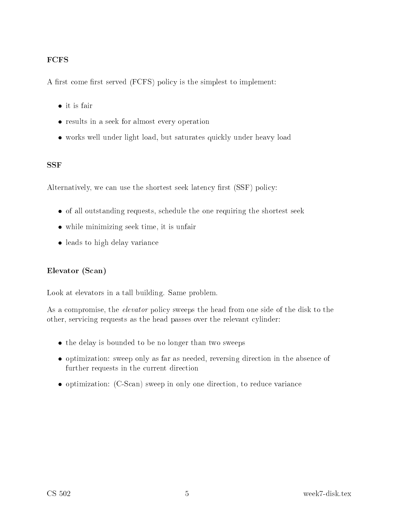#### FCFS

A first come first served (FCFS) policy is the simplest to implement:

- 
- results in a seek for almost every operation
- works well under light load, but saturates quickly under heavy load

#### SSF

Alternatively, we can use the shortest seek latency first (SSF) policy:

- of all outstanding requests, schedule the one requiring the shortest seek
- while minimizing seek time, it is unfair
- leads to high delay variance

#### Elevator (S
an)

Look at elevators in a tall building. Same problem.

As a compromise, the *elevator* policy sweeps the head from one side of the disk to the other, servicing requests as the head passes over the relevant cylinder:

- the delay is bounded to be no longer than two sweeps
- optimization: sweep only as far as needed, reversing direction in the absence of further requests in the current direction
- optimization: (C-Scan) sweep in only one direction, to reduce variance